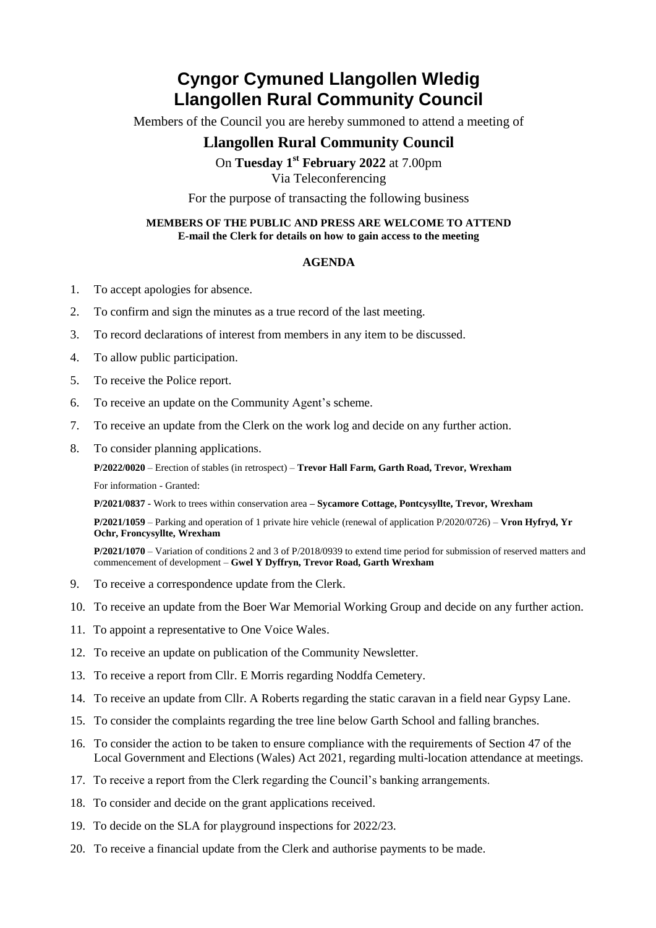## **Cyngor Cymuned Llangollen Wledig Llangollen Rural Community Council**

Members of the Council you are hereby summoned to attend a meeting of

## **Llangollen Rural Community Council**

On **Tuesday 1 st February 2022** at 7.00pm Via Teleconferencing

For the purpose of transacting the following business

## **MEMBERS OF THE PUBLIC AND PRESS ARE WELCOME TO ATTEND E-mail the Clerk for details on how to gain access to the meeting**

## **AGENDA**

- 1. To accept apologies for absence.
- 2. To confirm and sign the minutes as a true record of the last meeting.
- 3. To record declarations of interest from members in any item to be discussed.
- 4. To allow public participation.
- 5. To receive the Police report.
- 6. To receive an update on the Community Agent's scheme.
- 7. To receive an update from the Clerk on the work log and decide on any further action.
- 8. To consider planning applications.

**P/2022/0020** – Erection of stables (in retrospect) – **Trevor Hall Farm, Garth Road, Trevor, Wrexham**

For information - Granted:

**P/2021/0837 -** Work to trees within conservation area **– Sycamore Cottage, Pontcysyllte, Trevor, Wrexham**

**P/2021/1059** – Parking and operation of 1 private hire vehicle (renewal of application P/2020/0726) – **Vron Hyfryd, Yr Ochr, Froncysyllte, Wrexham**

**P/2021/1070** – Variation of conditions 2 and 3 of P/2018/0939 to extend time period for submission of reserved matters and commencement of development – **Gwel Y Dyffryn, Trevor Road, Garth Wrexham**

- 9. To receive a correspondence update from the Clerk.
- 10. To receive an update from the Boer War Memorial Working Group and decide on any further action.
- 11. To appoint a representative to One Voice Wales.
- 12. To receive an update on publication of the Community Newsletter.
- 13. To receive a report from Cllr. E Morris regarding Noddfa Cemetery.
- 14. To receive an update from Cllr. A Roberts regarding the static caravan in a field near Gypsy Lane.
- 15. To consider the complaints regarding the tree line below Garth School and falling branches.
- 16. To consider the action to be taken to ensure compliance with the requirements of Section 47 of the Local Government and Elections (Wales) Act 2021, regarding multi-location attendance at meetings.
- 17. To receive a report from the Clerk regarding the Council's banking arrangements.
- 18. To consider and decide on the grant applications received.
- 19. To decide on the SLA for playground inspections for 2022/23.
- 20. To receive a financial update from the Clerk and authorise payments to be made.